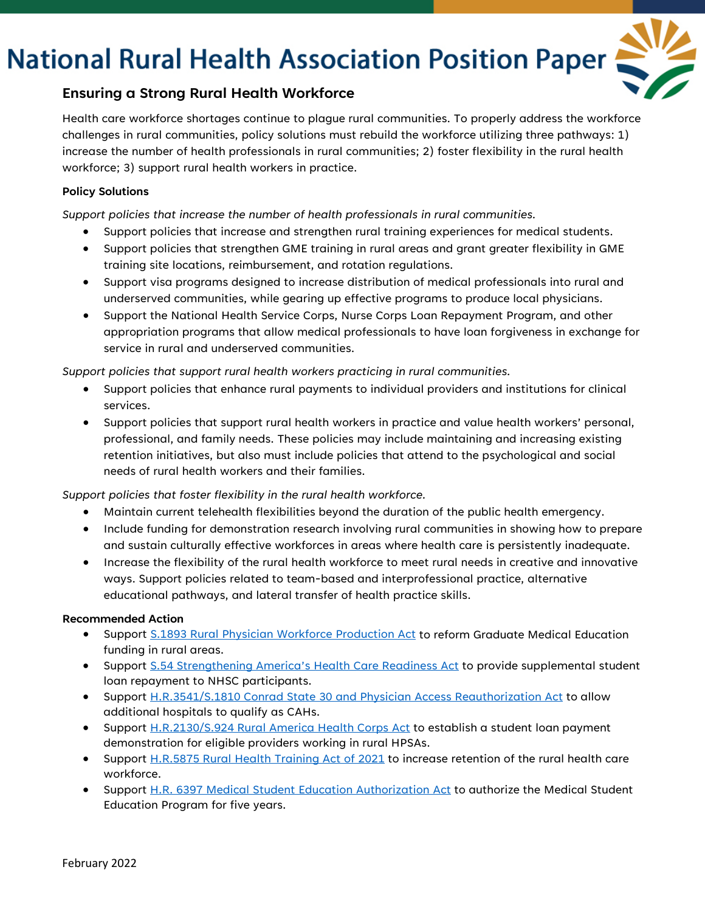# **National Rural Health Association Position Paper**



## **Ensuring a Strong Rural Health Workforce**

Health care workforce shortages continue to plague rural communities. To properly address the workforce challenges in rural communities, policy solutions must rebuild the workforce utilizing three pathways: 1) increase the number of health professionals in rural communities; 2) foster flexibility in the rural health workforce; 3) support rural health workers in practice.

### **Policy Solutions**

*Support policies that increase the number of health professionals in rural communities.*

- Support policies that increase and strengthen rural training experiences for medical students.
- Support policies that strengthen GME training in rural areas and grant greater flexibility in GME training site locations, reimbursement, and rotation regulations.
- Support visa programs designed to increase distribution of medical professionals into rural and underserved communities, while gearing up effective programs to produce local physicians.
- Support the National Health Service Corps, Nurse Corps Loan Repayment Program, and other appropriation programs that allow medical professionals to have loan forgiveness in exchange for service in rural and underserved communities.

*Support policies that support rural health workers practicing in rural communities.*

- Support policies that enhance rural payments to individual providers and institutions for clinical services.
- Support policies that support rural health workers in practice and value health workers' personal, professional, and family needs. These policies may include maintaining and increasing existing retention initiatives, but also must include policies that attend to the psychological and social needs of rural health workers and their families.

*Support policies that foster flexibility in the rural health workforce.*

- Maintain current telehealth flexibilities beyond the duration of the public health emergency.
- Include funding for demonstration research involving rural communities in showing how to prepare and sustain culturally effective workforces in areas where health care is persistently inadequate.
- Increase the flexibility of the rural health workforce to meet rural needs in creative and innovative ways. Support policies related to team-based and interprofessional practice, alternative educational pathways, and lateral transfer of health practice skills.

#### **Recommended Action**

- Support S.1893 [Rural Physician Workforce Production Act](https://www.congress.gov/bill/117th-congress/senate-bill/1893?s=1&r=88) to reform Graduate Medical Education funding in rural areas.
- Support [S.54 Strengthening America's Health Care Readiness Act](https://www.congress.gov/bill/117th-congress/senate-bill/54) to provide supplemental student loan repayment to NHSC participants.
- Support H.R.3541/S.1810 [Conrad State 30 and Physician Access Reauthorization Act](https://www.congress.gov/bill/117th-congress/senate-bill/1810/all-info) to allow additional hospitals to qualify as CAHs.
- Support H.R.2130/S.924 [Rural America Health Corps Act](https://www.congress.gov/bill/117th-congress/house-bill/2130) to establish a student loan payment demonstration for eligible providers working in rural HPSAs.
- Support [H.R.5875 Rural Health Training Act of 2021](https://www.congress.gov/bill/117th-congress/house-bill/5875) to increase retention of the rural health care workforce.
- Support [H.R. 6397 Medical Student Education Authorization Act](https://www.congress.gov/bill/117th-congress/house-bill/6397?q=%7B%22search%22%3A%5B%22H.R.+6397%22%2C%22H.R.%22%2C%226397%22%5D%7D&s=5&r=3) to authorize the Medical Student Education Program for five years.